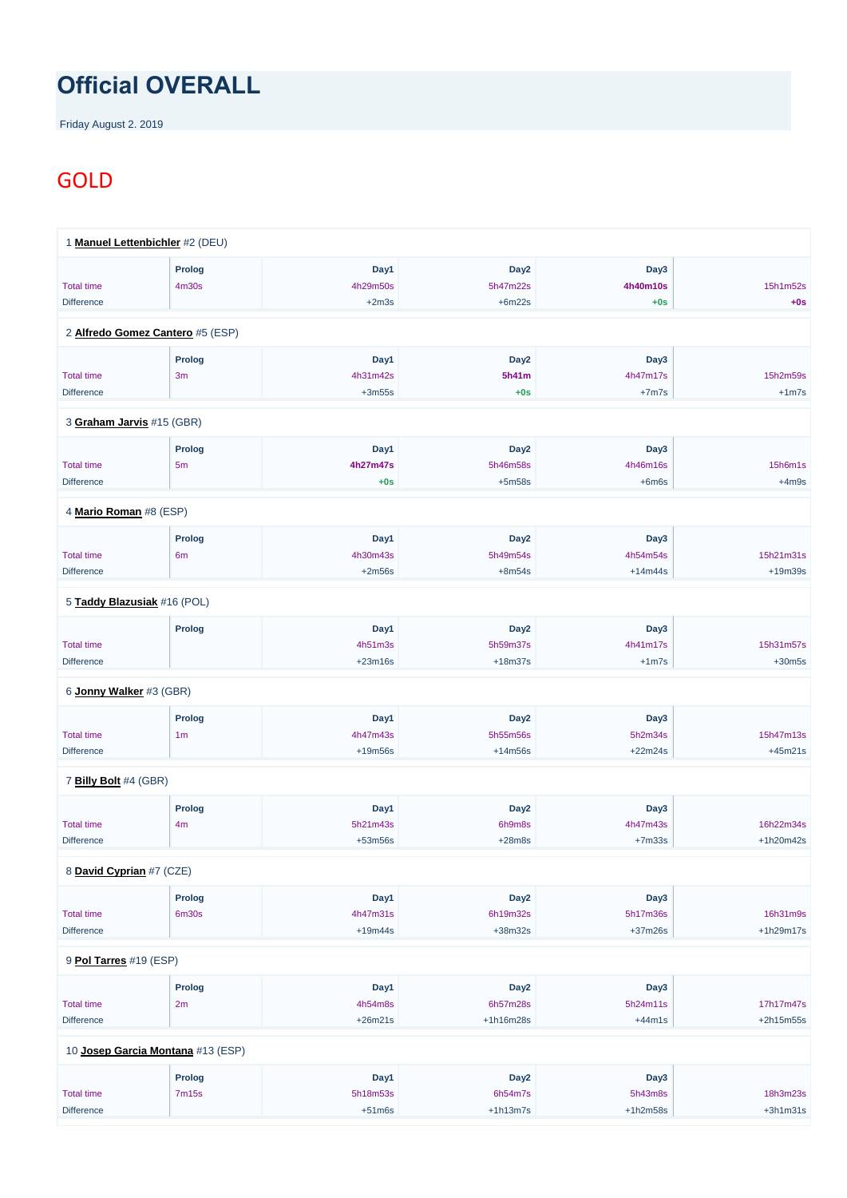## **Official OVERALL**

Friday August 2. 2019

## GOLD

|                             | 1 Manuel Lettenbichler #2 (DEU)  |           |                  |           |           |
|-----------------------------|----------------------------------|-----------|------------------|-----------|-----------|
|                             | <b>Prolog</b>                    | Day1      | Day <sub>2</sub> | Day3      |           |
| <b>Total time</b>           | 4m30s                            | 4h29m50s  | 5h47m22s         | 4h40m10s  | 15h1m52s  |
| <b>Difference</b>           |                                  | $+2m3s$   | $+6m22s$         | $+0s$     | $+0s$     |
|                             | 2 Alfredo Gomez Cantero #5 (ESP) |           |                  |           |           |
|                             | <b>Prolog</b>                    | Day1      | Day <sub>2</sub> | Day3      |           |
| <b>Total time</b>           | 3m                               | 4h31m42s  | 5h41m            | 4h47m17s  | 15h2m59s  |
| <b>Difference</b>           |                                  | $+3m55s$  | $+0s$            | $+7m7s$   | $+1m7s$   |
| 3 Graham Jarvis #15 (GBR)   |                                  |           |                  |           |           |
|                             | <b>Prolog</b>                    | Day1      | Day <sub>2</sub> | Day3      |           |
| <b>Total time</b>           | 5 <sub>m</sub>                   | 4h27m47s  | 5h46m58s         | 4h46m16s  | 15h6m1s   |
| <b>Difference</b>           |                                  | $+0s$     | $+5m58s$         | $+6m6s$   | $+4m9s$   |
| 4 Mario Roman #8 (ESP)      |                                  |           |                  |           |           |
|                             | <b>Prolog</b>                    | Day1      | Day <sub>2</sub> | Day3      |           |
| <b>Total time</b>           | 6 <sub>m</sub>                   | 4h30m43s  | 5h49m54s         | 4h54m54s  | 15h21m31s |
| <b>Difference</b>           |                                  | $+2m56s$  | $+8m54s$         | $+14m44s$ | $+19m39s$ |
| 5 Taddy Blazusiak #16 (POL) |                                  |           |                  |           |           |
|                             | <b>Prolog</b>                    | Day1      | Day <sub>2</sub> | Day3      |           |
| <b>Total time</b>           |                                  | 4h51m3s   | 5h59m37s         | 4h41m17s  | 15h31m57s |
| <b>Difference</b>           |                                  | $+23m16s$ | $+18m37s$        | $+1m7s$   | $+30m5s$  |
| 6 Jonny Walker #3 (GBR)     |                                  |           |                  |           |           |
|                             | <b>Prolog</b>                    | Day1      | Day <sub>2</sub> | Day3      |           |
| <b>Total time</b>           | 1 <sub>m</sub>                   | 4h47m43s  | 5h55m56s         | 5h2m34s   | 15h47m13s |
| <b>Difference</b>           |                                  | $+19m56s$ | $+14m56s$        | $+22m24s$ | $+45m21s$ |
| 7 Billy Bolt #4 (GBR)       |                                  |           |                  |           |           |
|                             | <b>Prolog</b>                    | Day1      | Day <sub>2</sub> | Day3      |           |
|                             |                                  | 5h21m43s  | 6h9m8s           | 4h47m43s  | 16h22m34s |
| <b>Total time</b>           | 4m                               |           |                  |           |           |

| <b>Prolog</b> |      |                  |      |  |
|---------------|------|------------------|------|--|
|               | Day1 | Day <sub>2</sub> | Day3 |  |

| <b>Total time</b>                 | 6m30s         | 4h47m31s  | 6h19m32s         | 5h17m36s   | 16h31m9s    |
|-----------------------------------|---------------|-----------|------------------|------------|-------------|
| <b>Difference</b>                 |               | $+19m44s$ | $+38m32s$        | $+37m26s$  | $+1h29m17s$ |
|                                   |               |           |                  |            |             |
| 9 Pol Tarres #19 (ESP)            |               |           |                  |            |             |
|                                   | <b>Prolog</b> | Day1      | Day <sub>2</sub> | Day3       |             |
| <b>Total time</b>                 | 2m            | 4h54m8s   | 6h57m28s         | 5h24m11s   | 17h17m47s   |
| <b>Difference</b>                 |               | $+26m21s$ | $+1h16m28s$      | $+44m1s$   | $+2h15m55s$ |
|                                   |               |           |                  |            |             |
| 10 Josep Garcia Montana #13 (ESP) |               |           |                  |            |             |
|                                   | <b>Prolog</b> | Day1      | Day <sub>2</sub> | Day3       |             |
| <b>Total time</b>                 | 7m15s         | 5h18m53s  | 6h54m7s          | 5h43m8s    | 18h3m23s    |
| <b>Difference</b>                 |               | $+51m6s$  | $+1h13m7s$       | $+1h2m58s$ | $+3h1m31s$  |
|                                   |               |           |                  |            |             |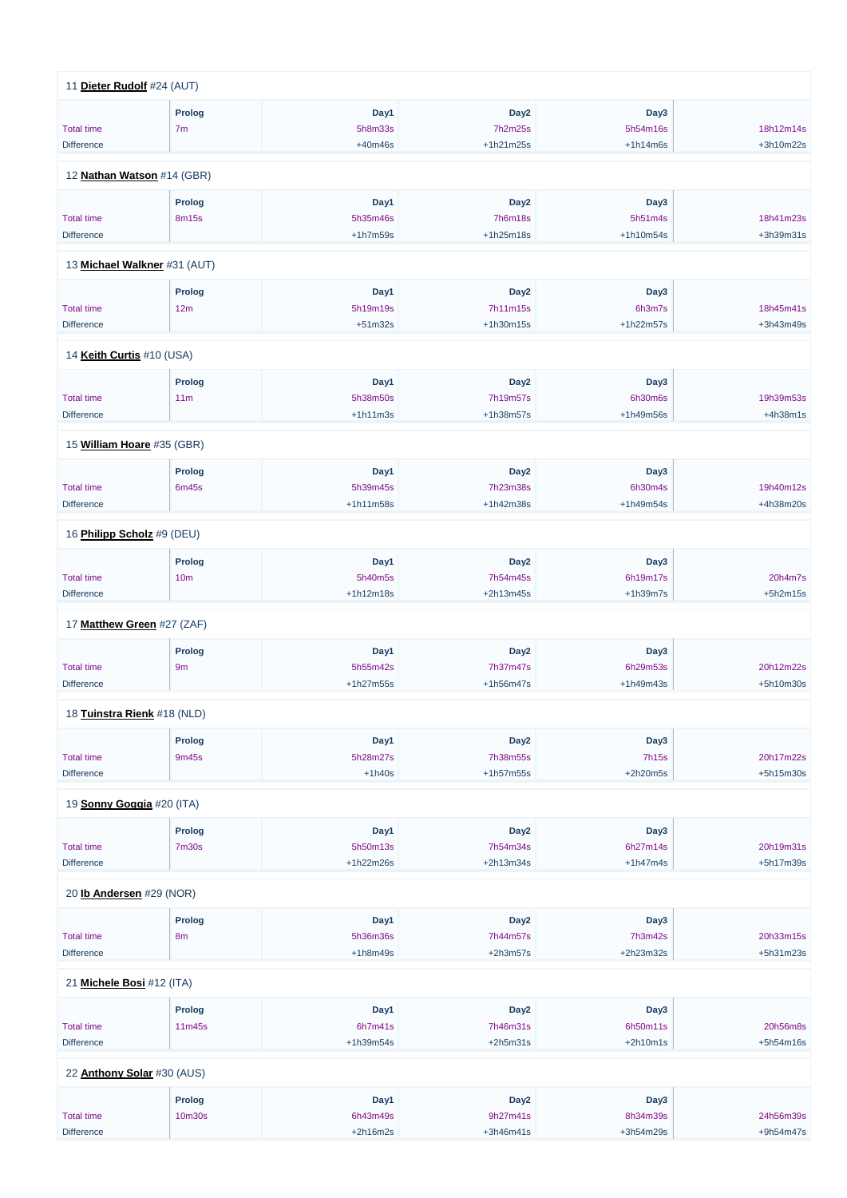| 11 Dieter Rudolf #24 (AUT)             |                              |                       |                       |                        |                        |
|----------------------------------------|------------------------------|-----------------------|-----------------------|------------------------|------------------------|
|                                        | Prolog                       | Day1                  | Day <sub>2</sub>      | Day3                   |                        |
| <b>Total time</b>                      | 7 <sub>m</sub>               | 5h8m33s               | 7h2m25s               | 5h54m16s               | 18h12m14s              |
| <b>Difference</b>                      |                              | $+40m46s$             | +1h21m25s             | $+1h14m6s$             | +3h10m22s              |
| 12 Nathan Watson #14 (GBR)             |                              |                       |                       |                        |                        |
|                                        | Prolog                       | Day1                  | Day <sub>2</sub>      | Day3                   |                        |
| <b>Total time</b>                      | 8m15s                        | 5h35m46s              | <b>7h6m18s</b>        | 5h51m4s                | 18h41m23s              |
| <b>Difference</b>                      |                              | $+1h7m59s$            | +1h25m18s             | +1h10m54s              | +3h39m31s              |
|                                        |                              |                       |                       |                        |                        |
|                                        | 13 Michael Walkner #31 (AUT) |                       |                       |                        |                        |
|                                        | <b>Prolog</b>                | Day1                  | Day <sub>2</sub>      | Day3                   |                        |
| <b>Total time</b>                      | 12m                          | 5h19m19s              | 7h11m15s              | 6h3m7s                 | 18h45m41s              |
| <b>Difference</b>                      |                              | $+51m32s$             | +1h30m15s             | +1h22m57s              | +3h43m49s              |
| 14 Keith Curtis #10 (USA)              |                              |                       |                       |                        |                        |
|                                        | Prolog                       | Day1                  | Day <sub>2</sub>      | Day3                   |                        |
| <b>Total time</b>                      | 11 <sub>m</sub>              | 5h38m50s              | 7h19m57s              | 6h30m6s                | 19h39m53s              |
| <b>Difference</b>                      |                              | $+1h11m3s$            | +1h38m57s             | +1h49m56s              | $+4h38m1s$             |
|                                        |                              |                       |                       |                        |                        |
| 15 William Hoare #35 (GBR)             |                              |                       |                       |                        |                        |
|                                        | Prolog                       | Day1                  | Day <sub>2</sub>      | Day <sub>3</sub>       |                        |
| <b>Total time</b>                      | 6m45s                        | 5h39m45s              | 7h23m38s              | 6h30m4s                | 19h40m12s              |
| <b>Difference</b>                      |                              | $+1h11m58s$           | +1h42m38s             | +1h49m54s              | +4h38m20s              |
| 16 Philipp Scholz #9 (DEU)             |                              |                       |                       |                        |                        |
|                                        | Prolog                       | Day1                  | Day <sub>2</sub>      | Day3                   |                        |
| <b>Total time</b>                      | 10 <sub>m</sub>              | 5h40m5s               | 7h54m45s              | 6h19m17s               | 20h4m7s                |
| <b>Difference</b>                      |                              | $+1h12m18s$           | +2h13m45s             | $+1h39m7s$             | $+5h2m15s$             |
| 17 Matthew Green #27 (ZAF)             |                              |                       |                       |                        |                        |
|                                        |                              |                       |                       |                        |                        |
|                                        | <b>Prolog</b>                | Day1                  | Day <sub>2</sub>      | Day3                   |                        |
| <b>Total time</b>                      | 9m                           | 5h55m42s              | 7h37m47s              | 6h29m53s               | 20h12m22s              |
| <b>Difference</b>                      |                              | $+1h27m55s$           | +1h56m47s             | +1h49m43s              | +5h10m30s              |
| 18 Tuinstra Rienk #18 (NLD)            |                              |                       |                       |                        |                        |
|                                        | Prolog                       | Day1                  | Day <sub>2</sub>      | Day3                   |                        |
| <b>Total time</b>                      | 9m45s                        | 5h28m27s              | 7h38m55s              | <b>7h15s</b>           | 20h17m22s              |
| <b>Difference</b>                      |                              | $+1h40s$              | +1h57m55s             | $+2h20m5s$             | +5h15m30s              |
| 19 Sonny Goggia #20 (ITA)              |                              |                       |                       |                        |                        |
|                                        |                              | Day1                  | Day <sub>2</sub>      | Day3                   |                        |
|                                        | Prolog                       |                       |                       |                        |                        |
|                                        |                              |                       |                       |                        |                        |
| <b>Total time</b><br><b>Difference</b> | <b>7m30s</b>                 | 5h50m13s<br>+1h22m26s | 7h54m34s<br>+2h13m34s | 6h27m14s<br>$+1h47m4s$ | 20h19m31s<br>+5h17m39s |

20 **[Ib Andersen](https://www.redbullromaniacs.com/for-competitors/profile/?e=rbr2019&b=29)** #29 (NOR)

|                            | <b>Prolog</b>  | Day1        | Day <sub>2</sub> | Day3        |             |
|----------------------------|----------------|-------------|------------------|-------------|-------------|
| <b>Total time</b>          | 8 <sub>m</sub> | 5h36m36s    | 7h44m57s         | 7h3m42s     | 20h33m15s   |
| <b>Difference</b>          |                | $+1h8m49s$  | $+2h3m57s$       | $+2h23m32s$ | $+5h31m23s$ |
|                            |                |             |                  |             |             |
| 21 Michele Bosi #12 (ITA)  |                |             |                  |             |             |
|                            | <b>Prolog</b>  | Day1        | Day <sub>2</sub> | Day3        |             |
| <b>Total time</b>          | 11m45s         | 6h7m41s     | 7h46m31s         | 6h50m11s    | 20h56m8s    |
| <b>Difference</b>          |                | $+1h39m54s$ | $+2h5m31s$       | $+2h10m1s$  | $+5h54m16s$ |
|                            |                |             |                  |             |             |
| 22 Anthony Solar #30 (AUS) |                |             |                  |             |             |
|                            | Prolog         | Day1        | Day <sub>2</sub> | Day3        |             |
| <b>Total time</b>          | 10m30s         | 6h43m49s    | 9h27m41s         | 8h34m39s    | 24h56m39s   |
| <b>Difference</b>          |                | $+2h16m2s$  | $+3h46m41s$      | $+3h54m29s$ | $+9h54m47s$ |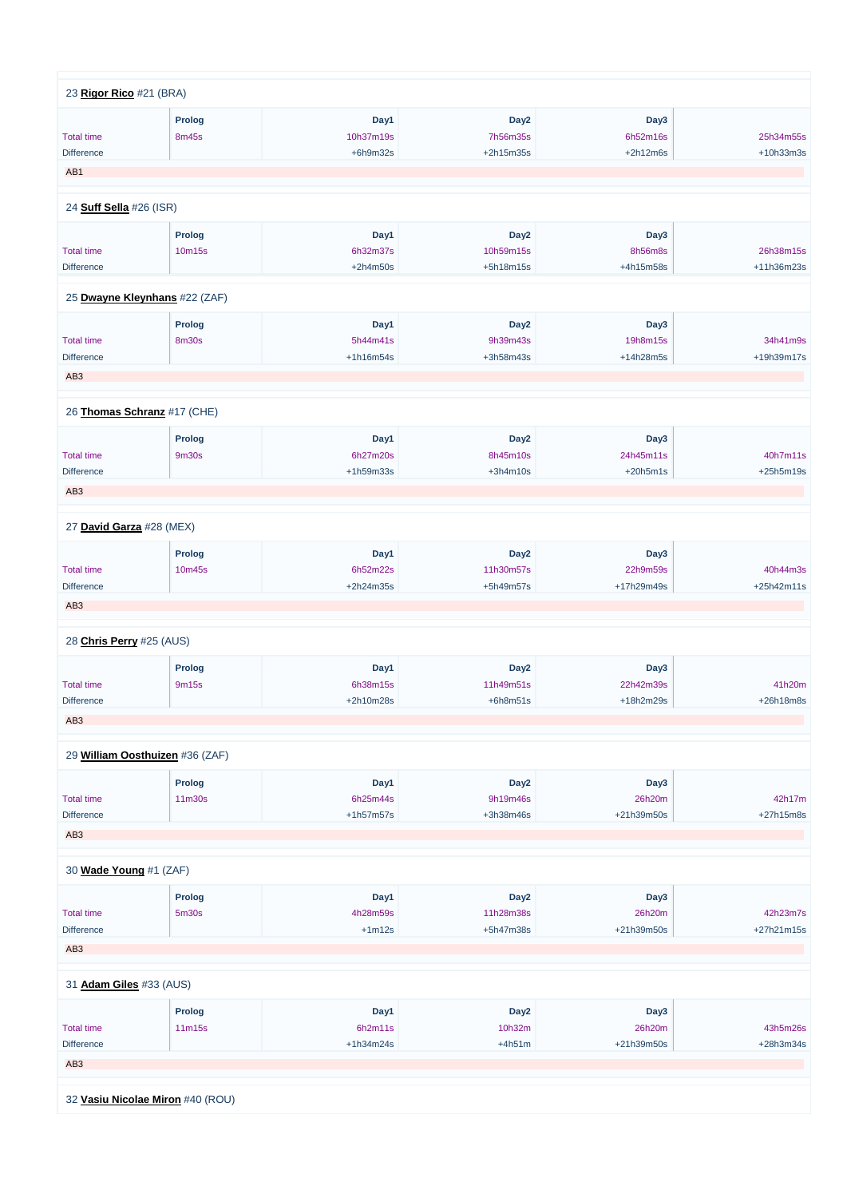| 23 Rigor Rico #21 (BRA)     |                                 |             |                  |            |            |
|-----------------------------|---------------------------------|-------------|------------------|------------|------------|
|                             | <b>Prolog</b>                   | Day1        | Day <sub>2</sub> | Day3       |            |
| <b>Total time</b>           | 8m45s                           | 10h37m19s   | 7h56m35s         | 6h52m16s   | 25h34m55s  |
| <b>Difference</b>           |                                 | $+6h9m32s$  | +2h15m35s        | $+2h12m6s$ | +10h33m3s  |
| AB1                         |                                 |             |                  |            |            |
|                             |                                 |             |                  |            |            |
| 24 Suff Sella #26 (ISR)     |                                 |             |                  |            |            |
|                             | <b>Prolog</b>                   | Day1        | Day <sub>2</sub> | Day3       |            |
| <b>Total time</b>           | 10m15s                          | 6h32m37s    | 10h59m15s        | 8h56m8s    | 26h38m15s  |
| <b>Difference</b>           |                                 | $+2h4m50s$  | +5h18m15s        | +4h15m58s  | +11h36m23s |
|                             | 25 Dwayne Kleynhans #22 (ZAF)   |             |                  |            |            |
|                             |                                 |             |                  |            |            |
|                             | <b>Prolog</b>                   | Day1        | Day <sub>2</sub> | Day3       |            |
| <b>Total time</b>           | 8m30s                           | 5h44m41s    | 9h39m43s         | 19h8m15s   | 34h41m9s   |
| <b>Difference</b>           |                                 | $+1h16m54s$ | +3h58m43s        | +14h28m5s  | +19h39m17s |
| AB <sub>3</sub>             |                                 |             |                  |            |            |
|                             |                                 |             |                  |            |            |
| 26 Thomas Schranz #17 (CHE) |                                 |             |                  |            |            |
|                             | <b>Prolog</b>                   | Day1        | Day <sub>2</sub> | Day3       |            |
| <b>Total time</b>           | 9m30s                           | 6h27m20s    | 8h45m10s         | 24h45m11s  | 40h7m11s   |
| <b>Difference</b>           |                                 | +1h59m33s   | $+3h4m10s$       | $+20h5m1s$ | +25h5m19s  |
| AB <sub>3</sub>             |                                 |             |                  |            |            |
|                             |                                 |             |                  |            |            |
| 27 David Garza #28 (MEX)    |                                 |             |                  |            |            |
|                             | <b>Prolog</b>                   | Day1        | Day <sub>2</sub> | Day3       |            |
| <b>Total time</b>           | 10m45s                          | 6h52m22s    | 11h30m57s        | 22h9m59s   | 40h44m3s   |
| Difference                  |                                 | +2h24m35s   | +5h49m57s        | +17h29m49s | +25h42m11s |
| AB <sub>3</sub>             |                                 |             |                  |            |            |
|                             |                                 |             |                  |            |            |
| 28 Chris Perry #25 (AUS)    |                                 |             |                  |            |            |
|                             | <b>Prolog</b>                   | Day1        | Day <sub>2</sub> | Day3       |            |
| <b>Total time</b>           | 9m15s                           | 6h38m15s    | 11h49m51s        | 22h42m39s  | 41h20m     |
| Difference                  |                                 | +2h10m28s   | $+6h8m51s$       | +18h2m29s  | +26h18m8s  |
| AB <sub>3</sub>             |                                 |             |                  |            |            |
|                             | 29 William Oosthuizen #36 (ZAF) |             |                  |            |            |
|                             |                                 |             |                  |            |            |
|                             | <b>Prolog</b>                   | Day1        | Day <sub>2</sub> | Day3       |            |
| <b>Total time</b>           | 11m30s                          | 6h25m44s    | 9h19m46s         | 26h20m     | 42h17m     |
| Difference                  |                                 | $+1h57m57s$ | +3h38m46s        | +21h39m50s | +27h15m8s  |
| AB <sub>3</sub>             |                                 |             |                  |            |            |
| 30 Wade Young #1 (ZAF)      |                                 |             |                  |            |            |
|                             |                                 |             |                  |            |            |

**Prolog Day1 Day2 Day3**

| <b>Total time</b>                | 5 <sub>m30s</sub> | 4h28m59s    | 11h28m38s        | 26h20m     | 42h23m7s    |
|----------------------------------|-------------------|-------------|------------------|------------|-------------|
| <b>Difference</b>                |                   | $+1m12s$    | +5h47m38s        | +21h39m50s | +27h21m15s  |
| AB <sub>3</sub>                  |                   |             |                  |            |             |
|                                  |                   |             |                  |            |             |
| 31 <b>Adam Giles</b> #33 (AUS)   |                   |             |                  |            |             |
|                                  | <b>Prolog</b>     | Day1        | Day <sub>2</sub> | Day3       |             |
| <b>Total time</b>                | 11m15s            | 6h2m11s     | 10h32m           | 26h20m     | 43h5m26s    |
| <b>Difference</b>                |                   | $+1h34m24s$ | $+4h51m$         | +21h39m50s | $+28h3m34s$ |
| AB <sub>3</sub>                  |                   |             |                  |            |             |
|                                  |                   |             |                  |            |             |
| 32 Vasiu Nicolae Miron #40 (ROU) |                   |             |                  |            |             |